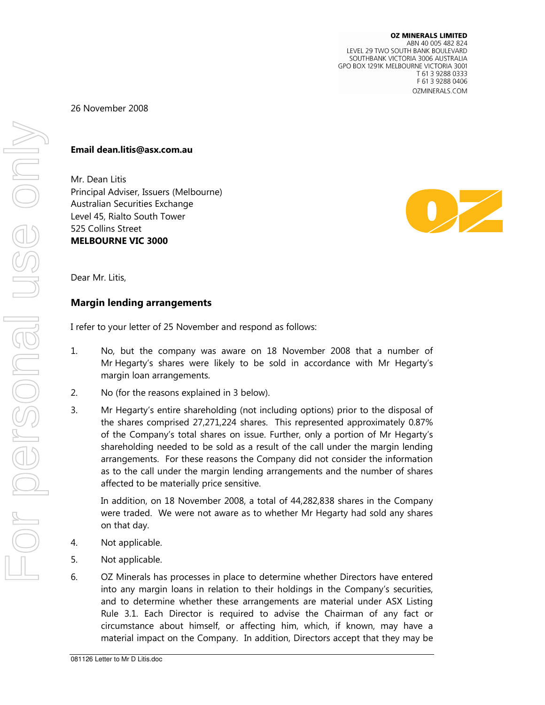## 26 November 2008

### Email dean.litis@asx.com.au

Mr. Dean Litis Principal Adviser, Issuers (Melbourne) **Australian Securities Exchange** Level 45, Rialto South Tower 525 Collins Street **MELBOURNE VIC 3000** 



Dear Mr. Litis,

#### **Margin lending arrangements**

I refer to your letter of 25 November and respond as follows:

- $1.$ No, but the company was aware on 18 November 2008 that a number of Mr Hegarty's shares were likely to be sold in accordance with Mr Hegarty's margin loan arrangements.
- 2. No (for the reasons explained in 3 below).
- 3. Mr Hegarty's entire shareholding (not including options) prior to the disposal of the shares comprised 27,271,224 shares. This represented approximately 0.87% of the Company's total shares on issue. Further, only a portion of Mr Hegarty's shareholding needed to be sold as a result of the call under the margin lending arrangements. For these reasons the Company did not consider the information as to the call under the margin lending arrangements and the number of shares affected to be materially price sensitive.

In addition, on 18 November 2008, a total of 44,282,838 shares in the Company were traded. We were not aware as to whether Mr Hegarty had sold any shares on that day.

- $\overline{4}$ . Not applicable.
- 5. Not applicable.
- 6. OZ Minerals has processes in place to determine whether Directors have entered into any margin loans in relation to their holdings in the Company's securities, and to determine whether these arrangements are material under ASX Listing Rule 3.1. Each Director is required to advise the Chairman of any fact or circumstance about himself, or affecting him, which, if known, may have a material impact on the Company. In addition, Directors accept that they may be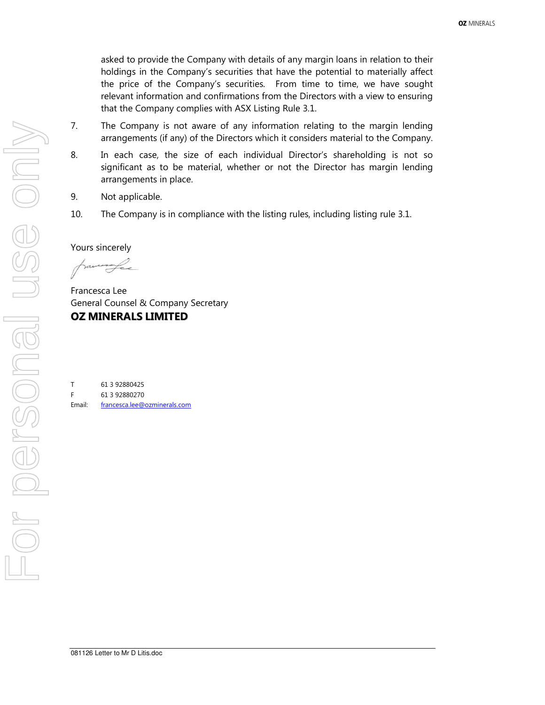asked to provide the Company with details of any margin loans in relation to their holdings in the Company's securities that have the potential to materially affect the price of the Company's securities. From time to time, we have sought relevant information and confirmations from the Directors with a view to ensuring that the Company complies with ASX Listing Rule 3.1.

- 7. The Company is not aware of any information relating to the margin lending arrangements (if any) of the Directors which it considers material to the Company.
- 8. In each case, the size of each individual Director's shareholding is not so significant as to be material, whether or not the Director has margin lending arrangements in place.
- 9. Not applicable.
- 10. The Company is in compliance with the listing rules, including listing rule 3.1.

Yours sincerely

Francesca Lee General Counsel & Company Secretary **OZ MINERALS LIMITED** 

 $\mathsf T$ 61 3 92880425 F 61 3 92880270 **Fmail:** francesca.lee@ozminerals.com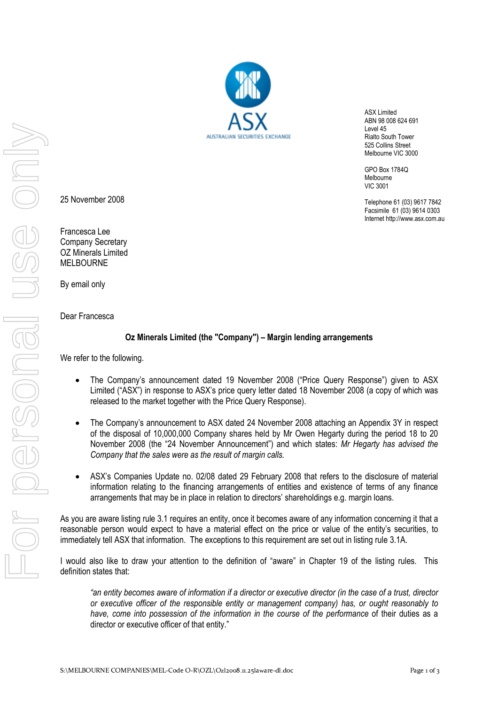ASX Limited ABN 98 008 624 691 Level 45 Rialto South Tower 525 Collins Street Melbourne VIC 3000

> GPO Box 1784Q Melbourne VIC 3001

Telephone 61 (03) 9617 7842 Facsimile 61 (03) 9614 0303 Internet http://www.asx.com.au

25 November 2008

Francesca Lee Company Secretary OZ Minerals Limited MELBOURNE

By email only

Dear Francesca

# Oz Minerals Limited (the "Company") – Margin lending arrangements

We refer to the following.

- The Company's announcement dated 19 November 2008 ("Price Query Response") given to ASX Limited ("ASX") in response to ASX's price query letter dated 18 November 2008 (a copy of which was released to the market together with the Price Query Response).
- The Company's announcement to ASX dated 24 November 2008 attaching an Appendix 3Y in respect of the disposal of 10,000,000 Company shares held by Mr Owen Hegarty during the period 18 to 20 November 2008 (the "24 November Announcement") and which states: Mr Hegarty has advised the Company that the sales were as the result of margin calls.
- ASX's Companies Update no. 02/08 dated 29 February 2008 that refers to the disclosure of material information relating to the financing arrangements of entities and existence of terms of any finance arrangements that may be in place in relation to directors' shareholdings e.g. margin loans.

As you are aware listing rule 3.1 requires an entity, once it becomes aware of any information concerning it that a reasonable person would expect to have a material effect on the price or value of the entity's securities, to immediately tell ASX that information. The exceptions to this requirement are set out in listing rule 3.1A.

I would also like to draw your attention to the definition of "aware" in Chapter 19 of the listing rules. This definition states that:

"an entity becomes aware of information if a director or executive director (in the case of a trust, director or executive officer of the responsible entity or management company) has, or ought reasonably to have, come into possession of the information in the course of the performance of their duties as a director or executive officer of that entity."

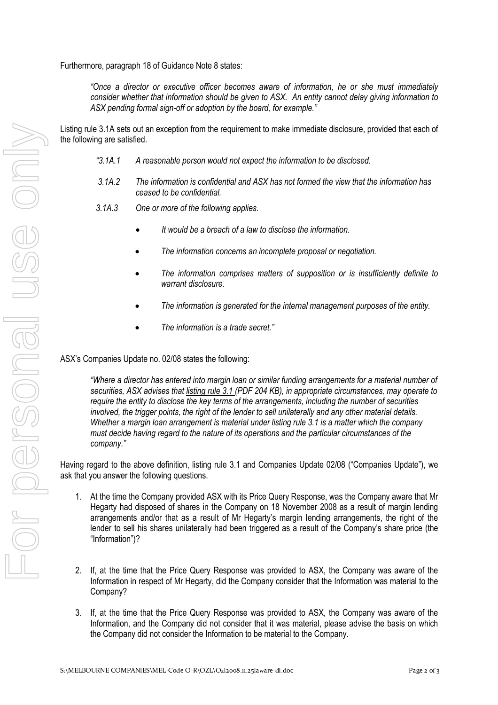Furthermore, paragraph 18 of Guidance Note 8 states:

"Once a director or executive officer becomes aware of information, he or she must immediately consider whether that information should be given to ASX. An entity cannot delay giving information to ASX pending formal sign-off or adoption by the board, for example."

Listing rule 3.1A sets out an exception from the requirement to make immediate disclosure, provided that each of the following are satisfied.

- "3.1A.1 A reasonable person would not expect the information to be disclosed.
- 3.1A.2 The information is confidential and ASX has not formed the view that the information has ceased to be confidential.
- 3.1A.3 One or more of the following applies.
	- It would be a breach of a law to disclose the information.
	- The information concerns an incomplete proposal or negotiation.
	- The information comprises matters of supposition or is insufficiently definite to warrant disclosure.
	- The information is generated for the internal management purposes of the entity.
	- The information is a trade secret."

#### ASX's Companies Update no. 02/08 states the following:

"Where a director has entered into margin loan or similar funding arrangements for a material number of securities, ASX advises that listing rule 3.1 (PDF 204 KB), in appropriate circumstances, may operate to require the entity to disclose the key terms of the arrangements, including the number of securities involved, the trigger points, the right of the lender to sell unilaterally and any other material details. Whether a margin loan arrangement is material under listing rule 3.1 is a matter which the company must decide having regard to the nature of its operations and the particular circumstances of the company."

Having regard to the above definition, listing rule 3.1 and Companies Update 02/08 ("Companies Update"), we ask that you answer the following questions.

- 1. At the time the Company provided ASX with its Price Query Response, was the Company aware that Mr Hegarty had disposed of shares in the Company on 18 November 2008 as a result of margin lending arrangements and/or that as a result of Mr Hegarty's margin lending arrangements, the right of the lender to sell his shares unilaterally had been triggered as a result of the Company's share price (the "Information")?
- 2. If, at the time that the Price Query Response was provided to ASX, the Company was aware of the Information in respect of Mr Hegarty, did the Company consider that the Information was material to the Company?
- 3. If, at the time that the Price Query Response was provided to ASX, the Company was aware of the Information, and the Company did not consider that it was material, please advise the basis on which the Company did not consider the Information to be material to the Company.